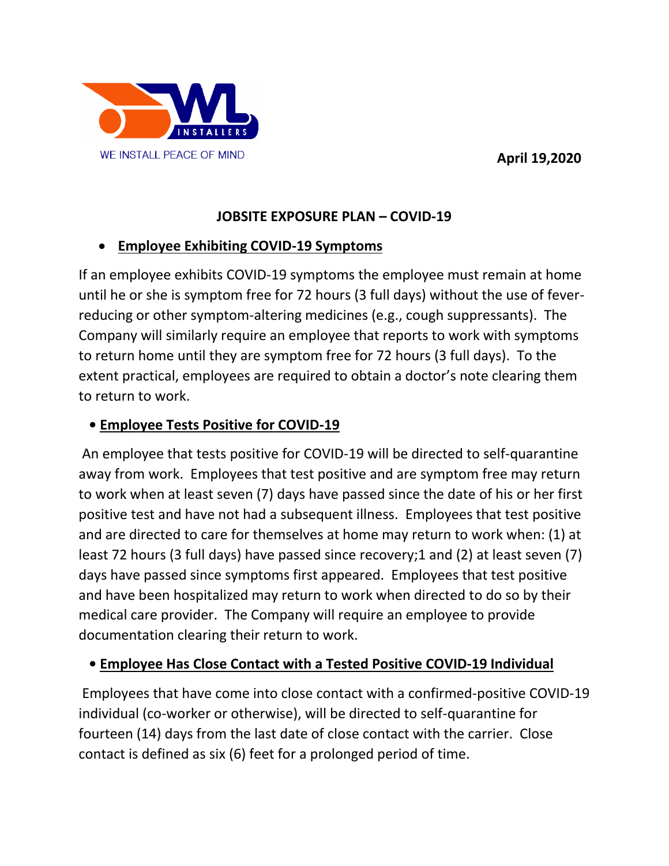**April 19,2020**



# **JOBSITE EXPOSURE PLAN – COVID-19**

# **Employee Exhibiting COVID-19 Symptoms**

If an employee exhibits COVID-19 symptoms the employee must remain at home until he or she is symptom free for 72 hours (3 full days) without the use of feverreducing or other symptom-altering medicines (e.g., cough suppressants). The Company will similarly require an employee that reports to work with symptoms to return home until they are symptom free for 72 hours (3 full days). To the extent practical, employees are required to obtain a doctor's note clearing them to return to work.

### **• Employee Tests Positive for COVID-19**

An employee that tests positive for COVID-19 will be directed to self-quarantine away from work. Employees that test positive and are symptom free may return to work when at least seven (7) days have passed since the date of his or her first positive test and have not had a subsequent illness. Employees that test positive and are directed to care for themselves at home may return to work when: (1) at least 72 hours (3 full days) have passed since recovery;1 and (2) at least seven (7) days have passed since symptoms first appeared. Employees that test positive and have been hospitalized may return to work when directed to do so by their medical care provider. The Company will require an employee to provide documentation clearing their return to work.

# **• Employee Has Close Contact with a Tested Positive COVID-19 Individual**

Employees that have come into close contact with a confirmed-positive COVID-19 individual (co-worker or otherwise), will be directed to self-quarantine for fourteen (14) days from the last date of close contact with the carrier. Close contact is defined as six (6) feet for a prolonged period of time.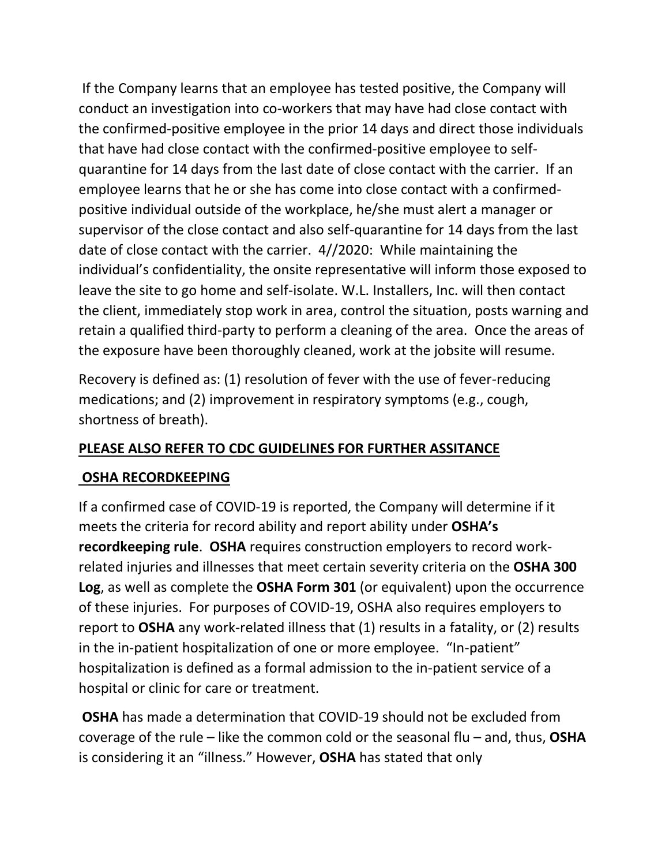If the Company learns that an employee has tested positive, the Company will conduct an investigation into co-workers that may have had close contact with the confirmed-positive employee in the prior 14 days and direct those individuals that have had close contact with the confirmed-positive employee to selfquarantine for 14 days from the last date of close contact with the carrier. If an employee learns that he or she has come into close contact with a confirmedpositive individual outside of the workplace, he/she must alert a manager or supervisor of the close contact and also self-quarantine for 14 days from the last date of close contact with the carrier. 4//2020: While maintaining the individual's confidentiality, the onsite representative will inform those exposed to leave the site to go home and self-isolate. W.L. Installers, Inc. will then contact the client, immediately stop work in area, control the situation, posts warning and retain a qualified third-party to perform a cleaning of the area. Once the areas of the exposure have been thoroughly cleaned, work at the jobsite will resume.

Recovery is defined as: (1) resolution of fever with the use of fever-reducing medications; and (2) improvement in respiratory symptoms (e.g., cough, shortness of breath).

#### **PLEASE ALSO REFER TO CDC GUIDELINES FOR FURTHER ASSITANCE**

#### **OSHA RECORDKEEPING**

If a confirmed case of COVID-19 is reported, the Company will determine if it meets the criteria for record ability and report ability under **OSHA's recordkeeping rule**. **OSHA** requires construction employers to record workrelated injuries and illnesses that meet certain severity criteria on the **OSHA 300 Log**, as well as complete the **OSHA Form 301** (or equivalent) upon the occurrence of these injuries. For purposes of COVID-19, OSHA also requires employers to report to **OSHA** any work-related illness that (1) results in a fatality, or (2) results in the in-patient hospitalization of one or more employee. "In-patient" hospitalization is defined as a formal admission to the in-patient service of a hospital or clinic for care or treatment.

**OSHA** has made a determination that COVID-19 should not be excluded from coverage of the rule – like the common cold or the seasonal flu – and, thus, **OSHA** is considering it an "illness." However, **OSHA** has stated that only